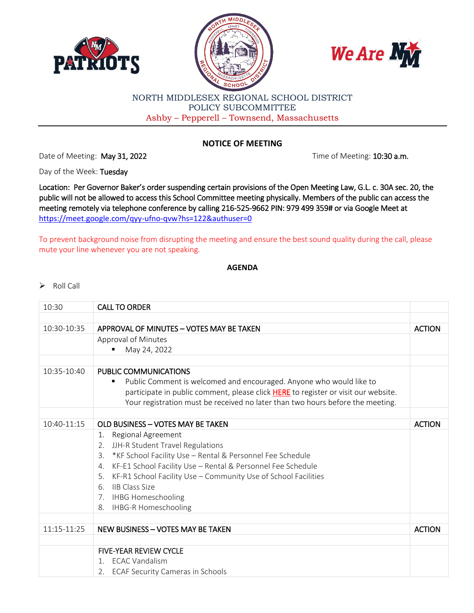





## NORTH MIDDLESEX REGIONAL SCHOOL DISTRICT POLICY SUBCOMMITTEE Ashby – Pepperell – Townsend, Massachusetts

## **NOTICE OF MEETING**

Date of Meeting: May 31, 2022 **The of Meeting: 10:30 a.m.** 

Day of the Week: Tuesday

Location: Per Governor Baker's order suspending certain provisions of the Open Meeting Law, G.L. c. 30A sec. 20, the public will not be allowed to access this School Committee meeting physically. Members of the public can access the meeting remotely via telephone conference by calling 216-525-9662 PIN: 979 499 359# or via Google Meet at <https://meet.google.com/qyy-ufno-qvw?hs=122&authuser=0>

To prevent background noise from disrupting the meeting and ensure the best sound quality during the call, please mute your line whenever you are not speaking.

## **AGENDA**

## $\triangleright$  Roll Call

| 10:30       | <b>CALL TO ORDER</b>                                                               |               |
|-------------|------------------------------------------------------------------------------------|---------------|
|             |                                                                                    |               |
| 10:30-10:35 | APPROVAL OF MINUTES - VOTES MAY BE TAKEN                                           | <b>ACTION</b> |
|             | Approval of Minutes                                                                |               |
|             | May 24, 2022                                                                       |               |
|             |                                                                                    |               |
| 10:35-10:40 | PUBLIC COMMUNICATIONS                                                              |               |
|             | Public Comment is welcomed and encouraged. Anyone who would like to                |               |
|             | participate in public comment, please click HERE to register or visit our website. |               |
|             | Your registration must be received no later than two hours before the meeting.     |               |
|             |                                                                                    |               |
| 10:40-11:15 | OLD BUSINESS - VOTES MAY BE TAKEN                                                  | <b>ACTION</b> |
|             | Regional Agreement<br>1.                                                           |               |
|             | 2. JJH-R Student Travel Regulations                                                |               |
|             | *KF School Facility Use - Rental & Personnel Fee Schedule<br>3.                    |               |
|             | KF-E1 School Facility Use - Rental & Personnel Fee Schedule<br>4.                  |               |
|             | KF-R1 School Facility Use - Community Use of School Facilities<br>5.               |               |
|             | <b>IIB Class Size</b><br>6.                                                        |               |
|             | 7. IHBG Homeschooling                                                              |               |
|             | <b>IHBG-R Homeschooling</b><br>8.                                                  |               |
|             |                                                                                    |               |
| 11:15-11:25 | NEW BUSINESS - VOTES MAY BE TAKEN                                                  | <b>ACTION</b> |
|             |                                                                                    |               |
|             | <b>FIVE-YEAR REVIEW CYCLE</b>                                                      |               |
|             | 1. ECAC Vandalism                                                                  |               |
|             | <b>ECAF Security Cameras in Schools</b><br>2.                                      |               |